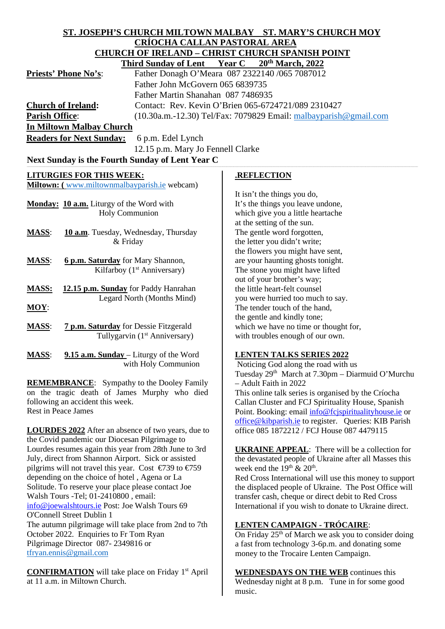| <b>CRÍOCHA CALLAN PASTORAL AREA</b><br><b>CHURCH OF IRELAND - CHRIST CHURCH SPANISH POINT</b><br>20th March, 2022<br><b>Year C</b><br><b>Third Sunday of Lent</b><br>Father Donagh O'Meara 087 2322140 /065 7087012<br>Father John McGovern 065 6839735<br>Father Martin Shanahan 087 7486935<br><b>Church of Ireland:</b><br>Contact: Rev. Kevin O'Brien 065-6724721/089 2310427<br><b>Parish Office:</b><br>$(10.30a.m.-12.30)$ Tel/Fax: 7079829 Email: $malbayparish@gmail.com$<br><b>In Miltown Malbay Church</b><br><b>Readers for Next Sunday:</b><br>6 p.m. Edel Lynch<br>12.15 p.m. Mary Jo Fennell Clarke<br>Next Sunday is the Fourth Sunday of Lent Year C<br><b>LITURGIES FOR THIS WEEK:</b><br><b>.REFLECTION</b><br>Miltown: (www.miltownmalbayparish.ie webcam)<br>It isn't the things you do,<br>It's the things you leave undone,<br>Monday: 10 a.m. Liturgy of the Word with<br>Holy Communion<br>which give you a little heartache<br>at the setting of the sun.<br>The gentle word forgotten,<br><b>MASS:</b><br>10 a.m. Tuesday, Wednesday, Thursday<br>the letter you didn't write;<br>& Friday<br>the flowers you might have sent,<br>are your haunting ghosts tonight.<br><b>MASS:</b><br>6 p.m. Saturday for Mary Shannon,<br>Kilfarboy (1 <sup>st</sup> Anniversary)<br>The stone you might have lifted<br>out of your brother's way;<br>the little heart-felt counsel<br><b>MASS:</b><br>12.15 p.m. Sunday for Paddy Hanrahan<br>Legard North (Months Mind)<br>you were hurried too much to say.<br>$MOY$ :<br>The tender touch of the hand,<br>the gentle and kindly tone;<br>which we have no time or thought for,<br>7 p.m. Saturday for Dessie Fitzgerald<br><b>MASS:</b><br>Tullygarvin (1 <sup>st</sup> Anniversary)<br>with troubles enough of our own.<br>9.15 a.m. Sunday – Liturgy of the Word<br><b>MASS:</b><br><b>LENTEN TALKS SERIES 2022</b><br>with Holy Communion<br>Noticing God along the road with us<br>Tuesday 29th March at 7.30pm - Diarmuid O'Murchu<br><b>REMEMBRANCE:</b> Sympathy to the Dooley Family<br>- Adult Faith in 2022<br>on the tragic death of James Murphy who died<br>This online talk series is organised by the Críocha<br>following an accident this week.<br>Callan Cluster and FCJ Spirituality House, Spanish<br><b>Rest in Peace James</b><br>Point. Booking: email info@fcjspiritualityhouse.ie or<br>office@kibparish.ie to register. Queries: KIB Parish<br><b>LOURDES 2022</b> After an absence of two years, due to<br>office 085 1872212 / FCJ House 087 4479115<br>the Covid pandemic our Diocesan Pilgrimage to<br>Lourdes resumes again this year from 28th June to 3rd<br><b>UKRAINE APPEAL:</b> There will be a collection for<br>July, direct from Shannon Airport. Sick or assisted<br>the devastated people of Ukraine after all Masses this<br>pilgrims will not travel this year. Cost $\epsilon$ 739 to $\epsilon$ 759<br>week end the $19th$ & $20th$ .<br>depending on the choice of hotel, Agena or La<br>Red Cross International will use this money to support<br>Solitude. To reserve your place please contact Joe<br>the displaced people of Ukraine. The Post Office will<br>Walsh Tours -Tel; 01-2410800, email:<br>transfer cash, cheque or direct debit to Red Cross<br>info@joewalshtours.ie Post: Joe Walsh Tours 69<br>International if you wish to donate to Ukraine direct.<br>O'Connell Street Dublin 1<br>The autumn pilgrimage will take place from 2nd to 7th<br><b>LENTEN CAMPAIGN - TRÓCAIRE:</b><br>October 2022. Enquiries to Fr Tom Ryan<br>On Friday 25 <sup>th</sup> of March we ask you to consider doing<br>Pilgrimage Director 087-2349816 or<br>a fast from technology 3-6p.m. and donating some<br>tfryan.ennis@gmail.com<br>money to the Trocaire Lenten Campaign.<br><b>CONFIRMATION</b> will take place on Friday 1 <sup>st</sup> April<br><b>WEDNESDAYS ON THE WEB</b> continues this<br>at 11 a.m. in Miltown Church.<br>Wednesday night at 8 p.m. Tune in for some good | ST. JOSEPH'S CHURCH MILTOWN MALBAY ST. MARY'S CHURCH MOY |        |  |
|------------------------------------------------------------------------------------------------------------------------------------------------------------------------------------------------------------------------------------------------------------------------------------------------------------------------------------------------------------------------------------------------------------------------------------------------------------------------------------------------------------------------------------------------------------------------------------------------------------------------------------------------------------------------------------------------------------------------------------------------------------------------------------------------------------------------------------------------------------------------------------------------------------------------------------------------------------------------------------------------------------------------------------------------------------------------------------------------------------------------------------------------------------------------------------------------------------------------------------------------------------------------------------------------------------------------------------------------------------------------------------------------------------------------------------------------------------------------------------------------------------------------------------------------------------------------------------------------------------------------------------------------------------------------------------------------------------------------------------------------------------------------------------------------------------------------------------------------------------------------------------------------------------------------------------------------------------------------------------------------------------------------------------------------------------------------------------------------------------------------------------------------------------------------------------------------------------------------------------------------------------------------------------------------------------------------------------------------------------------------------------------------------------------------------------------------------------------------------------------------------------------------------------------------------------------------------------------------------------------------------------------------------------------------------------------------------------------------------------------------------------------------------------------------------------------------------------------------------------------------------------------------------------------------------------------------------------------------------------------------------------------------------------------------------------------------------------------------------------------------------------------------------------------------------------------------------------------------------------------------------------------------------------------------------------------------------------------------------------------------------------------------------------------------------------------------------------------------------------------------------------------------------------------------------------------------------------------------------------------------------------------------------------------------------------------------------------------------------------------------------------------------------------------------------------------------------------------------------------------------------------------------------------------------------------------------------------------------------------------------------------|----------------------------------------------------------|--------|--|
|                                                                                                                                                                                                                                                                                                                                                                                                                                                                                                                                                                                                                                                                                                                                                                                                                                                                                                                                                                                                                                                                                                                                                                                                                                                                                                                                                                                                                                                                                                                                                                                                                                                                                                                                                                                                                                                                                                                                                                                                                                                                                                                                                                                                                                                                                                                                                                                                                                                                                                                                                                                                                                                                                                                                                                                                                                                                                                                                                                                                                                                                                                                                                                                                                                                                                                                                                                                                                                                                                                                                                                                                                                                                                                                                                                                                                                                                                                                                                                                                            |                                                          |        |  |
|                                                                                                                                                                                                                                                                                                                                                                                                                                                                                                                                                                                                                                                                                                                                                                                                                                                                                                                                                                                                                                                                                                                                                                                                                                                                                                                                                                                                                                                                                                                                                                                                                                                                                                                                                                                                                                                                                                                                                                                                                                                                                                                                                                                                                                                                                                                                                                                                                                                                                                                                                                                                                                                                                                                                                                                                                                                                                                                                                                                                                                                                                                                                                                                                                                                                                                                                                                                                                                                                                                                                                                                                                                                                                                                                                                                                                                                                                                                                                                                                            |                                                          |        |  |
|                                                                                                                                                                                                                                                                                                                                                                                                                                                                                                                                                                                                                                                                                                                                                                                                                                                                                                                                                                                                                                                                                                                                                                                                                                                                                                                                                                                                                                                                                                                                                                                                                                                                                                                                                                                                                                                                                                                                                                                                                                                                                                                                                                                                                                                                                                                                                                                                                                                                                                                                                                                                                                                                                                                                                                                                                                                                                                                                                                                                                                                                                                                                                                                                                                                                                                                                                                                                                                                                                                                                                                                                                                                                                                                                                                                                                                                                                                                                                                                                            |                                                          |        |  |
|                                                                                                                                                                                                                                                                                                                                                                                                                                                                                                                                                                                                                                                                                                                                                                                                                                                                                                                                                                                                                                                                                                                                                                                                                                                                                                                                                                                                                                                                                                                                                                                                                                                                                                                                                                                                                                                                                                                                                                                                                                                                                                                                                                                                                                                                                                                                                                                                                                                                                                                                                                                                                                                                                                                                                                                                                                                                                                                                                                                                                                                                                                                                                                                                                                                                                                                                                                                                                                                                                                                                                                                                                                                                                                                                                                                                                                                                                                                                                                                                            | <b>Priests' Phone No's:</b>                              |        |  |
|                                                                                                                                                                                                                                                                                                                                                                                                                                                                                                                                                                                                                                                                                                                                                                                                                                                                                                                                                                                                                                                                                                                                                                                                                                                                                                                                                                                                                                                                                                                                                                                                                                                                                                                                                                                                                                                                                                                                                                                                                                                                                                                                                                                                                                                                                                                                                                                                                                                                                                                                                                                                                                                                                                                                                                                                                                                                                                                                                                                                                                                                                                                                                                                                                                                                                                                                                                                                                                                                                                                                                                                                                                                                                                                                                                                                                                                                                                                                                                                                            |                                                          |        |  |
|                                                                                                                                                                                                                                                                                                                                                                                                                                                                                                                                                                                                                                                                                                                                                                                                                                                                                                                                                                                                                                                                                                                                                                                                                                                                                                                                                                                                                                                                                                                                                                                                                                                                                                                                                                                                                                                                                                                                                                                                                                                                                                                                                                                                                                                                                                                                                                                                                                                                                                                                                                                                                                                                                                                                                                                                                                                                                                                                                                                                                                                                                                                                                                                                                                                                                                                                                                                                                                                                                                                                                                                                                                                                                                                                                                                                                                                                                                                                                                                                            |                                                          |        |  |
|                                                                                                                                                                                                                                                                                                                                                                                                                                                                                                                                                                                                                                                                                                                                                                                                                                                                                                                                                                                                                                                                                                                                                                                                                                                                                                                                                                                                                                                                                                                                                                                                                                                                                                                                                                                                                                                                                                                                                                                                                                                                                                                                                                                                                                                                                                                                                                                                                                                                                                                                                                                                                                                                                                                                                                                                                                                                                                                                                                                                                                                                                                                                                                                                                                                                                                                                                                                                                                                                                                                                                                                                                                                                                                                                                                                                                                                                                                                                                                                                            |                                                          |        |  |
|                                                                                                                                                                                                                                                                                                                                                                                                                                                                                                                                                                                                                                                                                                                                                                                                                                                                                                                                                                                                                                                                                                                                                                                                                                                                                                                                                                                                                                                                                                                                                                                                                                                                                                                                                                                                                                                                                                                                                                                                                                                                                                                                                                                                                                                                                                                                                                                                                                                                                                                                                                                                                                                                                                                                                                                                                                                                                                                                                                                                                                                                                                                                                                                                                                                                                                                                                                                                                                                                                                                                                                                                                                                                                                                                                                                                                                                                                                                                                                                                            |                                                          |        |  |
|                                                                                                                                                                                                                                                                                                                                                                                                                                                                                                                                                                                                                                                                                                                                                                                                                                                                                                                                                                                                                                                                                                                                                                                                                                                                                                                                                                                                                                                                                                                                                                                                                                                                                                                                                                                                                                                                                                                                                                                                                                                                                                                                                                                                                                                                                                                                                                                                                                                                                                                                                                                                                                                                                                                                                                                                                                                                                                                                                                                                                                                                                                                                                                                                                                                                                                                                                                                                                                                                                                                                                                                                                                                                                                                                                                                                                                                                                                                                                                                                            |                                                          |        |  |
|                                                                                                                                                                                                                                                                                                                                                                                                                                                                                                                                                                                                                                                                                                                                                                                                                                                                                                                                                                                                                                                                                                                                                                                                                                                                                                                                                                                                                                                                                                                                                                                                                                                                                                                                                                                                                                                                                                                                                                                                                                                                                                                                                                                                                                                                                                                                                                                                                                                                                                                                                                                                                                                                                                                                                                                                                                                                                                                                                                                                                                                                                                                                                                                                                                                                                                                                                                                                                                                                                                                                                                                                                                                                                                                                                                                                                                                                                                                                                                                                            |                                                          |        |  |
|                                                                                                                                                                                                                                                                                                                                                                                                                                                                                                                                                                                                                                                                                                                                                                                                                                                                                                                                                                                                                                                                                                                                                                                                                                                                                                                                                                                                                                                                                                                                                                                                                                                                                                                                                                                                                                                                                                                                                                                                                                                                                                                                                                                                                                                                                                                                                                                                                                                                                                                                                                                                                                                                                                                                                                                                                                                                                                                                                                                                                                                                                                                                                                                                                                                                                                                                                                                                                                                                                                                                                                                                                                                                                                                                                                                                                                                                                                                                                                                                            |                                                          |        |  |
|                                                                                                                                                                                                                                                                                                                                                                                                                                                                                                                                                                                                                                                                                                                                                                                                                                                                                                                                                                                                                                                                                                                                                                                                                                                                                                                                                                                                                                                                                                                                                                                                                                                                                                                                                                                                                                                                                                                                                                                                                                                                                                                                                                                                                                                                                                                                                                                                                                                                                                                                                                                                                                                                                                                                                                                                                                                                                                                                                                                                                                                                                                                                                                                                                                                                                                                                                                                                                                                                                                                                                                                                                                                                                                                                                                                                                                                                                                                                                                                                            |                                                          |        |  |
|                                                                                                                                                                                                                                                                                                                                                                                                                                                                                                                                                                                                                                                                                                                                                                                                                                                                                                                                                                                                                                                                                                                                                                                                                                                                                                                                                                                                                                                                                                                                                                                                                                                                                                                                                                                                                                                                                                                                                                                                                                                                                                                                                                                                                                                                                                                                                                                                                                                                                                                                                                                                                                                                                                                                                                                                                                                                                                                                                                                                                                                                                                                                                                                                                                                                                                                                                                                                                                                                                                                                                                                                                                                                                                                                                                                                                                                                                                                                                                                                            |                                                          |        |  |
|                                                                                                                                                                                                                                                                                                                                                                                                                                                                                                                                                                                                                                                                                                                                                                                                                                                                                                                                                                                                                                                                                                                                                                                                                                                                                                                                                                                                                                                                                                                                                                                                                                                                                                                                                                                                                                                                                                                                                                                                                                                                                                                                                                                                                                                                                                                                                                                                                                                                                                                                                                                                                                                                                                                                                                                                                                                                                                                                                                                                                                                                                                                                                                                                                                                                                                                                                                                                                                                                                                                                                                                                                                                                                                                                                                                                                                                                                                                                                                                                            |                                                          |        |  |
|                                                                                                                                                                                                                                                                                                                                                                                                                                                                                                                                                                                                                                                                                                                                                                                                                                                                                                                                                                                                                                                                                                                                                                                                                                                                                                                                                                                                                                                                                                                                                                                                                                                                                                                                                                                                                                                                                                                                                                                                                                                                                                                                                                                                                                                                                                                                                                                                                                                                                                                                                                                                                                                                                                                                                                                                                                                                                                                                                                                                                                                                                                                                                                                                                                                                                                                                                                                                                                                                                                                                                                                                                                                                                                                                                                                                                                                                                                                                                                                                            |                                                          |        |  |
|                                                                                                                                                                                                                                                                                                                                                                                                                                                                                                                                                                                                                                                                                                                                                                                                                                                                                                                                                                                                                                                                                                                                                                                                                                                                                                                                                                                                                                                                                                                                                                                                                                                                                                                                                                                                                                                                                                                                                                                                                                                                                                                                                                                                                                                                                                                                                                                                                                                                                                                                                                                                                                                                                                                                                                                                                                                                                                                                                                                                                                                                                                                                                                                                                                                                                                                                                                                                                                                                                                                                                                                                                                                                                                                                                                                                                                                                                                                                                                                                            |                                                          |        |  |
|                                                                                                                                                                                                                                                                                                                                                                                                                                                                                                                                                                                                                                                                                                                                                                                                                                                                                                                                                                                                                                                                                                                                                                                                                                                                                                                                                                                                                                                                                                                                                                                                                                                                                                                                                                                                                                                                                                                                                                                                                                                                                                                                                                                                                                                                                                                                                                                                                                                                                                                                                                                                                                                                                                                                                                                                                                                                                                                                                                                                                                                                                                                                                                                                                                                                                                                                                                                                                                                                                                                                                                                                                                                                                                                                                                                                                                                                                                                                                                                                            |                                                          |        |  |
|                                                                                                                                                                                                                                                                                                                                                                                                                                                                                                                                                                                                                                                                                                                                                                                                                                                                                                                                                                                                                                                                                                                                                                                                                                                                                                                                                                                                                                                                                                                                                                                                                                                                                                                                                                                                                                                                                                                                                                                                                                                                                                                                                                                                                                                                                                                                                                                                                                                                                                                                                                                                                                                                                                                                                                                                                                                                                                                                                                                                                                                                                                                                                                                                                                                                                                                                                                                                                                                                                                                                                                                                                                                                                                                                                                                                                                                                                                                                                                                                            |                                                          |        |  |
|                                                                                                                                                                                                                                                                                                                                                                                                                                                                                                                                                                                                                                                                                                                                                                                                                                                                                                                                                                                                                                                                                                                                                                                                                                                                                                                                                                                                                                                                                                                                                                                                                                                                                                                                                                                                                                                                                                                                                                                                                                                                                                                                                                                                                                                                                                                                                                                                                                                                                                                                                                                                                                                                                                                                                                                                                                                                                                                                                                                                                                                                                                                                                                                                                                                                                                                                                                                                                                                                                                                                                                                                                                                                                                                                                                                                                                                                                                                                                                                                            |                                                          |        |  |
|                                                                                                                                                                                                                                                                                                                                                                                                                                                                                                                                                                                                                                                                                                                                                                                                                                                                                                                                                                                                                                                                                                                                                                                                                                                                                                                                                                                                                                                                                                                                                                                                                                                                                                                                                                                                                                                                                                                                                                                                                                                                                                                                                                                                                                                                                                                                                                                                                                                                                                                                                                                                                                                                                                                                                                                                                                                                                                                                                                                                                                                                                                                                                                                                                                                                                                                                                                                                                                                                                                                                                                                                                                                                                                                                                                                                                                                                                                                                                                                                            |                                                          |        |  |
|                                                                                                                                                                                                                                                                                                                                                                                                                                                                                                                                                                                                                                                                                                                                                                                                                                                                                                                                                                                                                                                                                                                                                                                                                                                                                                                                                                                                                                                                                                                                                                                                                                                                                                                                                                                                                                                                                                                                                                                                                                                                                                                                                                                                                                                                                                                                                                                                                                                                                                                                                                                                                                                                                                                                                                                                                                                                                                                                                                                                                                                                                                                                                                                                                                                                                                                                                                                                                                                                                                                                                                                                                                                                                                                                                                                                                                                                                                                                                                                                            |                                                          |        |  |
|                                                                                                                                                                                                                                                                                                                                                                                                                                                                                                                                                                                                                                                                                                                                                                                                                                                                                                                                                                                                                                                                                                                                                                                                                                                                                                                                                                                                                                                                                                                                                                                                                                                                                                                                                                                                                                                                                                                                                                                                                                                                                                                                                                                                                                                                                                                                                                                                                                                                                                                                                                                                                                                                                                                                                                                                                                                                                                                                                                                                                                                                                                                                                                                                                                                                                                                                                                                                                                                                                                                                                                                                                                                                                                                                                                                                                                                                                                                                                                                                            |                                                          |        |  |
|                                                                                                                                                                                                                                                                                                                                                                                                                                                                                                                                                                                                                                                                                                                                                                                                                                                                                                                                                                                                                                                                                                                                                                                                                                                                                                                                                                                                                                                                                                                                                                                                                                                                                                                                                                                                                                                                                                                                                                                                                                                                                                                                                                                                                                                                                                                                                                                                                                                                                                                                                                                                                                                                                                                                                                                                                                                                                                                                                                                                                                                                                                                                                                                                                                                                                                                                                                                                                                                                                                                                                                                                                                                                                                                                                                                                                                                                                                                                                                                                            |                                                          |        |  |
|                                                                                                                                                                                                                                                                                                                                                                                                                                                                                                                                                                                                                                                                                                                                                                                                                                                                                                                                                                                                                                                                                                                                                                                                                                                                                                                                                                                                                                                                                                                                                                                                                                                                                                                                                                                                                                                                                                                                                                                                                                                                                                                                                                                                                                                                                                                                                                                                                                                                                                                                                                                                                                                                                                                                                                                                                                                                                                                                                                                                                                                                                                                                                                                                                                                                                                                                                                                                                                                                                                                                                                                                                                                                                                                                                                                                                                                                                                                                                                                                            |                                                          |        |  |
|                                                                                                                                                                                                                                                                                                                                                                                                                                                                                                                                                                                                                                                                                                                                                                                                                                                                                                                                                                                                                                                                                                                                                                                                                                                                                                                                                                                                                                                                                                                                                                                                                                                                                                                                                                                                                                                                                                                                                                                                                                                                                                                                                                                                                                                                                                                                                                                                                                                                                                                                                                                                                                                                                                                                                                                                                                                                                                                                                                                                                                                                                                                                                                                                                                                                                                                                                                                                                                                                                                                                                                                                                                                                                                                                                                                                                                                                                                                                                                                                            |                                                          |        |  |
|                                                                                                                                                                                                                                                                                                                                                                                                                                                                                                                                                                                                                                                                                                                                                                                                                                                                                                                                                                                                                                                                                                                                                                                                                                                                                                                                                                                                                                                                                                                                                                                                                                                                                                                                                                                                                                                                                                                                                                                                                                                                                                                                                                                                                                                                                                                                                                                                                                                                                                                                                                                                                                                                                                                                                                                                                                                                                                                                                                                                                                                                                                                                                                                                                                                                                                                                                                                                                                                                                                                                                                                                                                                                                                                                                                                                                                                                                                                                                                                                            |                                                          |        |  |
|                                                                                                                                                                                                                                                                                                                                                                                                                                                                                                                                                                                                                                                                                                                                                                                                                                                                                                                                                                                                                                                                                                                                                                                                                                                                                                                                                                                                                                                                                                                                                                                                                                                                                                                                                                                                                                                                                                                                                                                                                                                                                                                                                                                                                                                                                                                                                                                                                                                                                                                                                                                                                                                                                                                                                                                                                                                                                                                                                                                                                                                                                                                                                                                                                                                                                                                                                                                                                                                                                                                                                                                                                                                                                                                                                                                                                                                                                                                                                                                                            |                                                          |        |  |
|                                                                                                                                                                                                                                                                                                                                                                                                                                                                                                                                                                                                                                                                                                                                                                                                                                                                                                                                                                                                                                                                                                                                                                                                                                                                                                                                                                                                                                                                                                                                                                                                                                                                                                                                                                                                                                                                                                                                                                                                                                                                                                                                                                                                                                                                                                                                                                                                                                                                                                                                                                                                                                                                                                                                                                                                                                                                                                                                                                                                                                                                                                                                                                                                                                                                                                                                                                                                                                                                                                                                                                                                                                                                                                                                                                                                                                                                                                                                                                                                            |                                                          |        |  |
|                                                                                                                                                                                                                                                                                                                                                                                                                                                                                                                                                                                                                                                                                                                                                                                                                                                                                                                                                                                                                                                                                                                                                                                                                                                                                                                                                                                                                                                                                                                                                                                                                                                                                                                                                                                                                                                                                                                                                                                                                                                                                                                                                                                                                                                                                                                                                                                                                                                                                                                                                                                                                                                                                                                                                                                                                                                                                                                                                                                                                                                                                                                                                                                                                                                                                                                                                                                                                                                                                                                                                                                                                                                                                                                                                                                                                                                                                                                                                                                                            |                                                          |        |  |
|                                                                                                                                                                                                                                                                                                                                                                                                                                                                                                                                                                                                                                                                                                                                                                                                                                                                                                                                                                                                                                                                                                                                                                                                                                                                                                                                                                                                                                                                                                                                                                                                                                                                                                                                                                                                                                                                                                                                                                                                                                                                                                                                                                                                                                                                                                                                                                                                                                                                                                                                                                                                                                                                                                                                                                                                                                                                                                                                                                                                                                                                                                                                                                                                                                                                                                                                                                                                                                                                                                                                                                                                                                                                                                                                                                                                                                                                                                                                                                                                            |                                                          |        |  |
|                                                                                                                                                                                                                                                                                                                                                                                                                                                                                                                                                                                                                                                                                                                                                                                                                                                                                                                                                                                                                                                                                                                                                                                                                                                                                                                                                                                                                                                                                                                                                                                                                                                                                                                                                                                                                                                                                                                                                                                                                                                                                                                                                                                                                                                                                                                                                                                                                                                                                                                                                                                                                                                                                                                                                                                                                                                                                                                                                                                                                                                                                                                                                                                                                                                                                                                                                                                                                                                                                                                                                                                                                                                                                                                                                                                                                                                                                                                                                                                                            |                                                          |        |  |
|                                                                                                                                                                                                                                                                                                                                                                                                                                                                                                                                                                                                                                                                                                                                                                                                                                                                                                                                                                                                                                                                                                                                                                                                                                                                                                                                                                                                                                                                                                                                                                                                                                                                                                                                                                                                                                                                                                                                                                                                                                                                                                                                                                                                                                                                                                                                                                                                                                                                                                                                                                                                                                                                                                                                                                                                                                                                                                                                                                                                                                                                                                                                                                                                                                                                                                                                                                                                                                                                                                                                                                                                                                                                                                                                                                                                                                                                                                                                                                                                            |                                                          |        |  |
|                                                                                                                                                                                                                                                                                                                                                                                                                                                                                                                                                                                                                                                                                                                                                                                                                                                                                                                                                                                                                                                                                                                                                                                                                                                                                                                                                                                                                                                                                                                                                                                                                                                                                                                                                                                                                                                                                                                                                                                                                                                                                                                                                                                                                                                                                                                                                                                                                                                                                                                                                                                                                                                                                                                                                                                                                                                                                                                                                                                                                                                                                                                                                                                                                                                                                                                                                                                                                                                                                                                                                                                                                                                                                                                                                                                                                                                                                                                                                                                                            |                                                          |        |  |
|                                                                                                                                                                                                                                                                                                                                                                                                                                                                                                                                                                                                                                                                                                                                                                                                                                                                                                                                                                                                                                                                                                                                                                                                                                                                                                                                                                                                                                                                                                                                                                                                                                                                                                                                                                                                                                                                                                                                                                                                                                                                                                                                                                                                                                                                                                                                                                                                                                                                                                                                                                                                                                                                                                                                                                                                                                                                                                                                                                                                                                                                                                                                                                                                                                                                                                                                                                                                                                                                                                                                                                                                                                                                                                                                                                                                                                                                                                                                                                                                            |                                                          |        |  |
|                                                                                                                                                                                                                                                                                                                                                                                                                                                                                                                                                                                                                                                                                                                                                                                                                                                                                                                                                                                                                                                                                                                                                                                                                                                                                                                                                                                                                                                                                                                                                                                                                                                                                                                                                                                                                                                                                                                                                                                                                                                                                                                                                                                                                                                                                                                                                                                                                                                                                                                                                                                                                                                                                                                                                                                                                                                                                                                                                                                                                                                                                                                                                                                                                                                                                                                                                                                                                                                                                                                                                                                                                                                                                                                                                                                                                                                                                                                                                                                                            |                                                          |        |  |
|                                                                                                                                                                                                                                                                                                                                                                                                                                                                                                                                                                                                                                                                                                                                                                                                                                                                                                                                                                                                                                                                                                                                                                                                                                                                                                                                                                                                                                                                                                                                                                                                                                                                                                                                                                                                                                                                                                                                                                                                                                                                                                                                                                                                                                                                                                                                                                                                                                                                                                                                                                                                                                                                                                                                                                                                                                                                                                                                                                                                                                                                                                                                                                                                                                                                                                                                                                                                                                                                                                                                                                                                                                                                                                                                                                                                                                                                                                                                                                                                            |                                                          |        |  |
|                                                                                                                                                                                                                                                                                                                                                                                                                                                                                                                                                                                                                                                                                                                                                                                                                                                                                                                                                                                                                                                                                                                                                                                                                                                                                                                                                                                                                                                                                                                                                                                                                                                                                                                                                                                                                                                                                                                                                                                                                                                                                                                                                                                                                                                                                                                                                                                                                                                                                                                                                                                                                                                                                                                                                                                                                                                                                                                                                                                                                                                                                                                                                                                                                                                                                                                                                                                                                                                                                                                                                                                                                                                                                                                                                                                                                                                                                                                                                                                                            |                                                          |        |  |
|                                                                                                                                                                                                                                                                                                                                                                                                                                                                                                                                                                                                                                                                                                                                                                                                                                                                                                                                                                                                                                                                                                                                                                                                                                                                                                                                                                                                                                                                                                                                                                                                                                                                                                                                                                                                                                                                                                                                                                                                                                                                                                                                                                                                                                                                                                                                                                                                                                                                                                                                                                                                                                                                                                                                                                                                                                                                                                                                                                                                                                                                                                                                                                                                                                                                                                                                                                                                                                                                                                                                                                                                                                                                                                                                                                                                                                                                                                                                                                                                            |                                                          |        |  |
|                                                                                                                                                                                                                                                                                                                                                                                                                                                                                                                                                                                                                                                                                                                                                                                                                                                                                                                                                                                                                                                                                                                                                                                                                                                                                                                                                                                                                                                                                                                                                                                                                                                                                                                                                                                                                                                                                                                                                                                                                                                                                                                                                                                                                                                                                                                                                                                                                                                                                                                                                                                                                                                                                                                                                                                                                                                                                                                                                                                                                                                                                                                                                                                                                                                                                                                                                                                                                                                                                                                                                                                                                                                                                                                                                                                                                                                                                                                                                                                                            |                                                          |        |  |
|                                                                                                                                                                                                                                                                                                                                                                                                                                                                                                                                                                                                                                                                                                                                                                                                                                                                                                                                                                                                                                                                                                                                                                                                                                                                                                                                                                                                                                                                                                                                                                                                                                                                                                                                                                                                                                                                                                                                                                                                                                                                                                                                                                                                                                                                                                                                                                                                                                                                                                                                                                                                                                                                                                                                                                                                                                                                                                                                                                                                                                                                                                                                                                                                                                                                                                                                                                                                                                                                                                                                                                                                                                                                                                                                                                                                                                                                                                                                                                                                            |                                                          |        |  |
|                                                                                                                                                                                                                                                                                                                                                                                                                                                                                                                                                                                                                                                                                                                                                                                                                                                                                                                                                                                                                                                                                                                                                                                                                                                                                                                                                                                                                                                                                                                                                                                                                                                                                                                                                                                                                                                                                                                                                                                                                                                                                                                                                                                                                                                                                                                                                                                                                                                                                                                                                                                                                                                                                                                                                                                                                                                                                                                                                                                                                                                                                                                                                                                                                                                                                                                                                                                                                                                                                                                                                                                                                                                                                                                                                                                                                                                                                                                                                                                                            |                                                          |        |  |
|                                                                                                                                                                                                                                                                                                                                                                                                                                                                                                                                                                                                                                                                                                                                                                                                                                                                                                                                                                                                                                                                                                                                                                                                                                                                                                                                                                                                                                                                                                                                                                                                                                                                                                                                                                                                                                                                                                                                                                                                                                                                                                                                                                                                                                                                                                                                                                                                                                                                                                                                                                                                                                                                                                                                                                                                                                                                                                                                                                                                                                                                                                                                                                                                                                                                                                                                                                                                                                                                                                                                                                                                                                                                                                                                                                                                                                                                                                                                                                                                            |                                                          |        |  |
|                                                                                                                                                                                                                                                                                                                                                                                                                                                                                                                                                                                                                                                                                                                                                                                                                                                                                                                                                                                                                                                                                                                                                                                                                                                                                                                                                                                                                                                                                                                                                                                                                                                                                                                                                                                                                                                                                                                                                                                                                                                                                                                                                                                                                                                                                                                                                                                                                                                                                                                                                                                                                                                                                                                                                                                                                                                                                                                                                                                                                                                                                                                                                                                                                                                                                                                                                                                                                                                                                                                                                                                                                                                                                                                                                                                                                                                                                                                                                                                                            |                                                          |        |  |
|                                                                                                                                                                                                                                                                                                                                                                                                                                                                                                                                                                                                                                                                                                                                                                                                                                                                                                                                                                                                                                                                                                                                                                                                                                                                                                                                                                                                                                                                                                                                                                                                                                                                                                                                                                                                                                                                                                                                                                                                                                                                                                                                                                                                                                                                                                                                                                                                                                                                                                                                                                                                                                                                                                                                                                                                                                                                                                                                                                                                                                                                                                                                                                                                                                                                                                                                                                                                                                                                                                                                                                                                                                                                                                                                                                                                                                                                                                                                                                                                            |                                                          |        |  |
|                                                                                                                                                                                                                                                                                                                                                                                                                                                                                                                                                                                                                                                                                                                                                                                                                                                                                                                                                                                                                                                                                                                                                                                                                                                                                                                                                                                                                                                                                                                                                                                                                                                                                                                                                                                                                                                                                                                                                                                                                                                                                                                                                                                                                                                                                                                                                                                                                                                                                                                                                                                                                                                                                                                                                                                                                                                                                                                                                                                                                                                                                                                                                                                                                                                                                                                                                                                                                                                                                                                                                                                                                                                                                                                                                                                                                                                                                                                                                                                                            |                                                          |        |  |
|                                                                                                                                                                                                                                                                                                                                                                                                                                                                                                                                                                                                                                                                                                                                                                                                                                                                                                                                                                                                                                                                                                                                                                                                                                                                                                                                                                                                                                                                                                                                                                                                                                                                                                                                                                                                                                                                                                                                                                                                                                                                                                                                                                                                                                                                                                                                                                                                                                                                                                                                                                                                                                                                                                                                                                                                                                                                                                                                                                                                                                                                                                                                                                                                                                                                                                                                                                                                                                                                                                                                                                                                                                                                                                                                                                                                                                                                                                                                                                                                            |                                                          |        |  |
|                                                                                                                                                                                                                                                                                                                                                                                                                                                                                                                                                                                                                                                                                                                                                                                                                                                                                                                                                                                                                                                                                                                                                                                                                                                                                                                                                                                                                                                                                                                                                                                                                                                                                                                                                                                                                                                                                                                                                                                                                                                                                                                                                                                                                                                                                                                                                                                                                                                                                                                                                                                                                                                                                                                                                                                                                                                                                                                                                                                                                                                                                                                                                                                                                                                                                                                                                                                                                                                                                                                                                                                                                                                                                                                                                                                                                                                                                                                                                                                                            |                                                          |        |  |
|                                                                                                                                                                                                                                                                                                                                                                                                                                                                                                                                                                                                                                                                                                                                                                                                                                                                                                                                                                                                                                                                                                                                                                                                                                                                                                                                                                                                                                                                                                                                                                                                                                                                                                                                                                                                                                                                                                                                                                                                                                                                                                                                                                                                                                                                                                                                                                                                                                                                                                                                                                                                                                                                                                                                                                                                                                                                                                                                                                                                                                                                                                                                                                                                                                                                                                                                                                                                                                                                                                                                                                                                                                                                                                                                                                                                                                                                                                                                                                                                            |                                                          |        |  |
|                                                                                                                                                                                                                                                                                                                                                                                                                                                                                                                                                                                                                                                                                                                                                                                                                                                                                                                                                                                                                                                                                                                                                                                                                                                                                                                                                                                                                                                                                                                                                                                                                                                                                                                                                                                                                                                                                                                                                                                                                                                                                                                                                                                                                                                                                                                                                                                                                                                                                                                                                                                                                                                                                                                                                                                                                                                                                                                                                                                                                                                                                                                                                                                                                                                                                                                                                                                                                                                                                                                                                                                                                                                                                                                                                                                                                                                                                                                                                                                                            |                                                          |        |  |
|                                                                                                                                                                                                                                                                                                                                                                                                                                                                                                                                                                                                                                                                                                                                                                                                                                                                                                                                                                                                                                                                                                                                                                                                                                                                                                                                                                                                                                                                                                                                                                                                                                                                                                                                                                                                                                                                                                                                                                                                                                                                                                                                                                                                                                                                                                                                                                                                                                                                                                                                                                                                                                                                                                                                                                                                                                                                                                                                                                                                                                                                                                                                                                                                                                                                                                                                                                                                                                                                                                                                                                                                                                                                                                                                                                                                                                                                                                                                                                                                            |                                                          |        |  |
|                                                                                                                                                                                                                                                                                                                                                                                                                                                                                                                                                                                                                                                                                                                                                                                                                                                                                                                                                                                                                                                                                                                                                                                                                                                                                                                                                                                                                                                                                                                                                                                                                                                                                                                                                                                                                                                                                                                                                                                                                                                                                                                                                                                                                                                                                                                                                                                                                                                                                                                                                                                                                                                                                                                                                                                                                                                                                                                                                                                                                                                                                                                                                                                                                                                                                                                                                                                                                                                                                                                                                                                                                                                                                                                                                                                                                                                                                                                                                                                                            |                                                          |        |  |
|                                                                                                                                                                                                                                                                                                                                                                                                                                                                                                                                                                                                                                                                                                                                                                                                                                                                                                                                                                                                                                                                                                                                                                                                                                                                                                                                                                                                                                                                                                                                                                                                                                                                                                                                                                                                                                                                                                                                                                                                                                                                                                                                                                                                                                                                                                                                                                                                                                                                                                                                                                                                                                                                                                                                                                                                                                                                                                                                                                                                                                                                                                                                                                                                                                                                                                                                                                                                                                                                                                                                                                                                                                                                                                                                                                                                                                                                                                                                                                                                            |                                                          |        |  |
|                                                                                                                                                                                                                                                                                                                                                                                                                                                                                                                                                                                                                                                                                                                                                                                                                                                                                                                                                                                                                                                                                                                                                                                                                                                                                                                                                                                                                                                                                                                                                                                                                                                                                                                                                                                                                                                                                                                                                                                                                                                                                                                                                                                                                                                                                                                                                                                                                                                                                                                                                                                                                                                                                                                                                                                                                                                                                                                                                                                                                                                                                                                                                                                                                                                                                                                                                                                                                                                                                                                                                                                                                                                                                                                                                                                                                                                                                                                                                                                                            |                                                          |        |  |
|                                                                                                                                                                                                                                                                                                                                                                                                                                                                                                                                                                                                                                                                                                                                                                                                                                                                                                                                                                                                                                                                                                                                                                                                                                                                                                                                                                                                                                                                                                                                                                                                                                                                                                                                                                                                                                                                                                                                                                                                                                                                                                                                                                                                                                                                                                                                                                                                                                                                                                                                                                                                                                                                                                                                                                                                                                                                                                                                                                                                                                                                                                                                                                                                                                                                                                                                                                                                                                                                                                                                                                                                                                                                                                                                                                                                                                                                                                                                                                                                            |                                                          |        |  |
|                                                                                                                                                                                                                                                                                                                                                                                                                                                                                                                                                                                                                                                                                                                                                                                                                                                                                                                                                                                                                                                                                                                                                                                                                                                                                                                                                                                                                                                                                                                                                                                                                                                                                                                                                                                                                                                                                                                                                                                                                                                                                                                                                                                                                                                                                                                                                                                                                                                                                                                                                                                                                                                                                                                                                                                                                                                                                                                                                                                                                                                                                                                                                                                                                                                                                                                                                                                                                                                                                                                                                                                                                                                                                                                                                                                                                                                                                                                                                                                                            |                                                          |        |  |
|                                                                                                                                                                                                                                                                                                                                                                                                                                                                                                                                                                                                                                                                                                                                                                                                                                                                                                                                                                                                                                                                                                                                                                                                                                                                                                                                                                                                                                                                                                                                                                                                                                                                                                                                                                                                                                                                                                                                                                                                                                                                                                                                                                                                                                                                                                                                                                                                                                                                                                                                                                                                                                                                                                                                                                                                                                                                                                                                                                                                                                                                                                                                                                                                                                                                                                                                                                                                                                                                                                                                                                                                                                                                                                                                                                                                                                                                                                                                                                                                            |                                                          | music. |  |